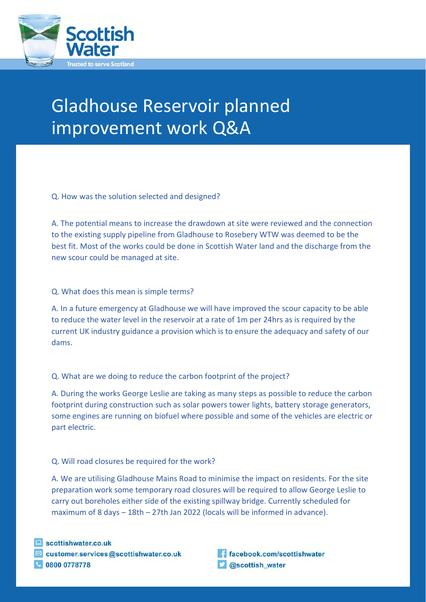

## Gladhouse Reservoir planned improvement work Q&A

Q. How was the solution selected and designed?

A. The potential means to increase the drawdown at site were reviewed and the connection to the existing supply pipeline from Gladhouse to Rosebery WTW was deemed to be the best fit. Most of the works could be done in Scottish Water land and the discharge from the new scour could be managed at site.

## Q. What does this mean is simple terms?

A. In a future emergency at Gladhouse we will have improved the scour capacity to be able to reduce the water level in the reservoir at a rate of 1m per 24hrs as is required by the current UK industry guidance a provision which is to ensure the adequacy and safety of our dams.

## Q. What are we doing to reduce the carbon footprint of the project?

A. During the works George Leslie are taking as many steps as possible to reduce the carbon footprint during construction such as solar powers tower lights, battery storage generators, some engines are running on biofuel where possible and some of the vehicles are electric or part electric.

## Q. Will road closures be required for the work?

A. We are utilising Gladhouse Mains Road to minimise the impact on residents. For the site preparation work some temporary road closures will be required to allow George Leslie to carry out boreholes either side of the existing spillway bridge. Currently scheduled for maximum of 8 days – 18th – 27th Jan 2022 (locals will be informed in advance).

SW Public General